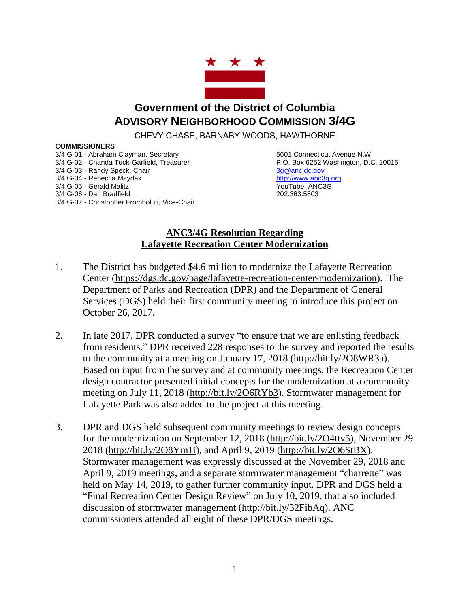

## **Government of the District of Columbia ADVISORY NEIGHBORHOOD COMMISSION 3/4G**

CHEVY CHASE, BARNABY WOODS, HAWTHORNE

## **COMMISSIONERS**

3/4 G-01 - Abraham Clayman, Secretary 6601 Connecticut Avenue N.W. 3/4 G-02 - Chanda Tuck-Garfield, Treasurer P.O. Box 6252 Washington, D.C. 20015 3/4 G-03 - Randy Speck, Chair 3g and 3g and 3g and 3g and 3g and 3g and 3g and 3g and 3g and 3g and 3g and 3g and 3g and 3g and 3g and 3g and 3g and 3g and 3g and 3g and 3g and 3g and 3g and 3g and 3g and 3g and 3g and 3g 3/4 G-04 - Rebecca Maydak [http://www.anc3g.org](http://www.anc3g.org/) 3/4 G-05 - Gerald Malitz **YouTube: ANC3G** 3/4 G-06 - Dan Bradfield 202.363.5803 3/4 G-07 - Christopher Fromboluti, Vice-Chair

## **ANC3/4G Resolution Regarding Lafayette Recreation Center Modernization**

- 1. The District has budgeted \$4.6 million to modernize the Lafayette Recreation Center [\(https://dgs.dc.gov/page/lafayette-recreation-center-modernization\)](https://dgs.dc.gov/page/lafayette-recreation-center-modernization). The Department of Parks and Recreation (DPR) and the Department of General Services (DGS) held their first community meeting to introduce this project on October 26, 2017.
- 2. In late 2017, DPR conducted a survey "to ensure that we are enlisting feedback from residents." DPR received 228 responses to the survey and reported the results to the community at a meeting on January 17, 2018 [\(http://bit.ly/2O8WR3a\)](http://bit.ly/2O8WR3a). Based on input from the survey and at community meetings, the Recreation Center design contractor presented initial concepts for the modernization at a community meeting on July 11, 2018 [\(http://bit.ly/2O6RYb3\)](http://bit.ly/2O6RYb3). Stormwater management for Lafayette Park was also added to the project at this meeting.
- 3. DPR and DGS held subsequent community meetings to review design concepts for the modernization on September 12, 2018 [\(http://bit.ly/2O4ttv5\)](http://bit.ly/2O4ttv5), November 29 2018 [\(http://bit.ly/2O8Ym1i\)](http://bit.ly/2O8Ym1i), and April 9, 2019 [\(http://bit.ly/2O6StBX\)](http://bit.ly/2O6StBX). Stormwater management was expressly discussed at the November 29, 2018 and April 9, 2019 meetings, and a separate stormwater management "charrette" was held on May 14, 2019, to gather further community input. DPR and DGS held a "Final Recreation Center Design Review" on July 10, 2019, that also included discussion of stormwater management [\(http://bit.ly/32FibAq\)](http://bit.ly/32FibAq). ANC commissioners attended all eight of these DPR/DGS meetings.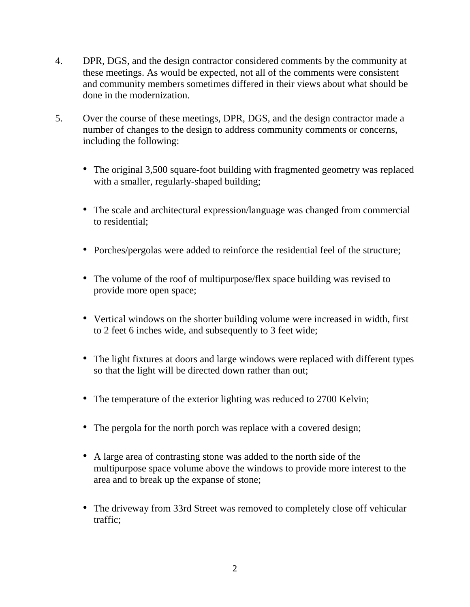- 4. DPR, DGS, and the design contractor considered comments by the community at these meetings. As would be expected, not all of the comments were consistent and community members sometimes differed in their views about what should be done in the modernization.
- 5. Over the course of these meetings, DPR, DGS, and the design contractor made a number of changes to the design to address community comments or concerns, including the following:
	- The original 3,500 square-foot building with fragmented geometry was replaced with a smaller, regularly-shaped building;
	- The scale and architectural expression/language was changed from commercial to residential;
	- Porches/pergolas were added to reinforce the residential feel of the structure;
	- The volume of the roof of multipurpose/flex space building was revised to provide more open space;
	- Vertical windows on the shorter building volume were increased in width, first to 2 feet 6 inches wide, and subsequently to 3 feet wide;
	- The light fixtures at doors and large windows were replaced with different types so that the light will be directed down rather than out;
	- The temperature of the exterior lighting was reduced to 2700 Kelvin;
	- The pergola for the north porch was replace with a covered design;
	- A large area of contrasting stone was added to the north side of the multipurpose space volume above the windows to provide more interest to the area and to break up the expanse of stone;
	- The driveway from 33rd Street was removed to completely close off vehicular traffic;